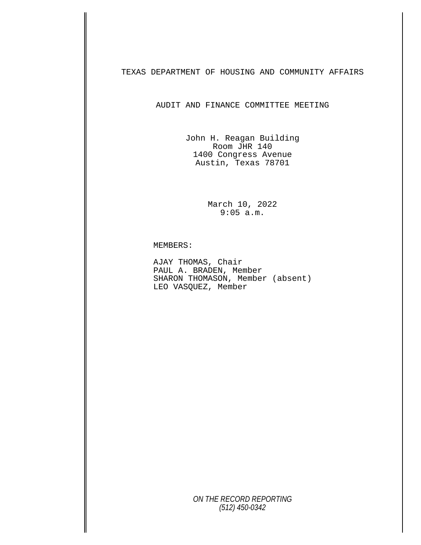## TEXAS DEPARTMENT OF HOUSING AND COMMUNITY AFFAIRS

AUDIT AND FINANCE COMMITTEE MEETING

John H. Reagan Building Room JHR 140 1400 Congress Avenue Austin, Texas 78701

> March 10, 2022 9:05 a.m.

MEMBERS:<br>AJAY THOMAS, Chair<br>PAUL A. BRADEN, Member SHARON THOMASON, Member (absent) LEO VASQUEZ, Member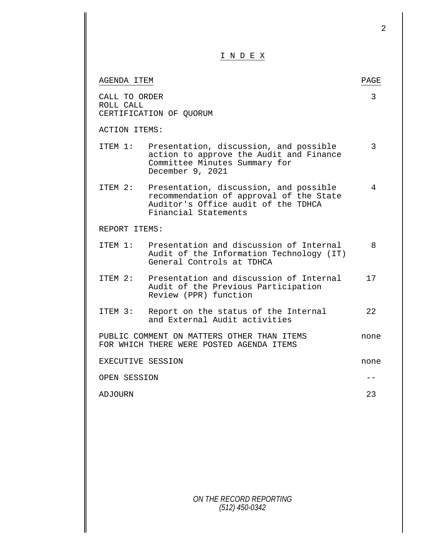|                            | I N D E X                                                                                                                                        |      |
|----------------------------|--------------------------------------------------------------------------------------------------------------------------------------------------|------|
| AGENDA ITEM                |                                                                                                                                                  | PAGE |
| CALL TO ORDER<br>ROLL CALL | CERTIFICATION OF QUORUM                                                                                                                          | 3    |
| <b>ACTION ITEMS:</b>       |                                                                                                                                                  |      |
| ITEM 1:                    | Presentation, discussion, and possible<br>action to approve the Audit and Finance<br>Committee Minutes Summary for<br>December 9, 2021           | 3    |
| ITEM 2:                    | Presentation, discussion, and possible<br>recommendation of approval of the State<br>Auditor's Office audit of the TDHCA<br>Financial Statements | 4    |
| REPORT ITEMS:              |                                                                                                                                                  |      |
| ITEM 1:                    | Presentation and discussion of Internal<br>Audit of the Information Technology (IT)<br>General Controls at TDHCA                                 | 8    |
| ITEM 2:                    | Presentation and discussion of Internal<br>Audit of the Previous Participation<br>Review (PPR) function                                          | 17   |
| ITEM 3:                    | Report on the status of the Internal<br>and External Audit activities                                                                            | 22   |
|                            | PUBLIC COMMENT ON MATTERS OTHER THAN ITEMS<br>FOR WHICH THERE WERE POSTED AGENDA ITEMS                                                           | none |
| EXECUTIVE SESSION          |                                                                                                                                                  | none |
| OPEN SESSION               |                                                                                                                                                  |      |
| ADJOURN                    |                                                                                                                                                  | 23   |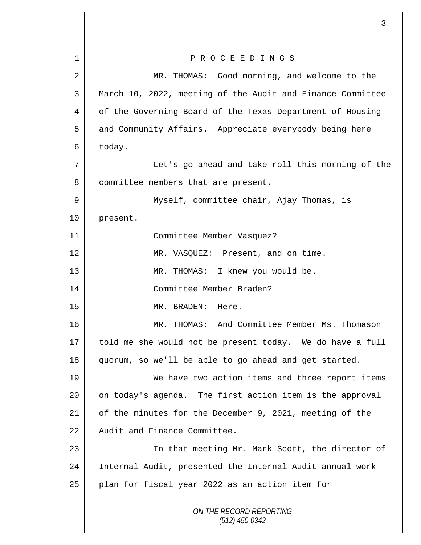| $\mathbf 1$ | P R O C E E D I N G S                                      |
|-------------|------------------------------------------------------------|
| 2           | MR. THOMAS: Good morning, and welcome to the               |
| 3           | March 10, 2022, meeting of the Audit and Finance Committee |
| 4           | of the Governing Board of the Texas Department of Housing  |
| 5           | and Community Affairs. Appreciate everybody being here     |
| 6           | today.                                                     |
| 7           | Let's go ahead and take roll this morning of the           |
| 8           | committee members that are present.                        |
| 9           | Myself, committee chair, Ajay Thomas, is                   |
| 10          | present.                                                   |
| 11          | Committee Member Vasquez?                                  |
| 12          | MR. VASQUEZ: Present, and on time.                         |
| 13          | MR. THOMAS: I knew you would be.                           |
| 14          | Committee Member Braden?                                   |
| 15          | MR. BRADEN: Here.                                          |
| 16          | MR. THOMAS: And Committee Member Ms. Thomason              |
| 17          | told me she would not be present today. We do have a full  |
| 18          | quorum, so we'll be able to go ahead and get started.      |
| 19          | We have two action items and three report items            |
| 20          | on today's agenda. The first action item is the approval   |
| 21          | of the minutes for the December 9, 2021, meeting of the    |
| 22          | Audit and Finance Committee.                               |
| 23          | In that meeting Mr. Mark Scott, the director of            |
| 24          | Internal Audit, presented the Internal Audit annual work   |
| 25          | plan for fiscal year 2022 as an action item for            |
|             | ON THE RECORD REPORTING<br>$(512)$ 450-0342                |

 $\parallel$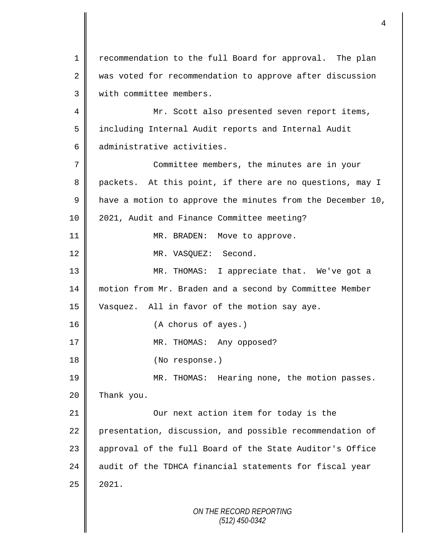*ON THE RECORD REPORTING (512) 450-0342* 1 || recommendation to the full Board for approval. The plan 2 was voted for recommendation to approve after discussion 3 With committee members. 4 || Mr. Scott also presented seven report items, 5 including Internal Audit reports and Internal Audit 6 de administrative activities. 7 || Committee members, the minutes are in your 8 packets. At this point, if there are no questions, may I  $9 \parallel$  have a motion to approve the minutes from the December 10, 10 | 2021, Audit and Finance Committee meeting? 11 || MR. BRADEN: Move to approve. 12 | MR. VASOUEZ: Second. 13 MR. THOMAS: I appreciate that. We've got a 14 motion from Mr. Braden and a second by Committee Member 15 Vasquez. All in favor of the motion say aye. 16 (A chorus of ayes.) 17 || MR. THOMAS: Any opposed? 18 || (No response.) 19 MR. THOMAS: Hearing none, the motion passes.  $20$  Thank you. 21 **Our next action item for today is the** 22 presentation, discussion, and possible recommendation of 23 || approval of the full Board of the State Auditor's Office 24 audit of the TDHCA financial statements for fiscal year  $25$  |  $2021$ .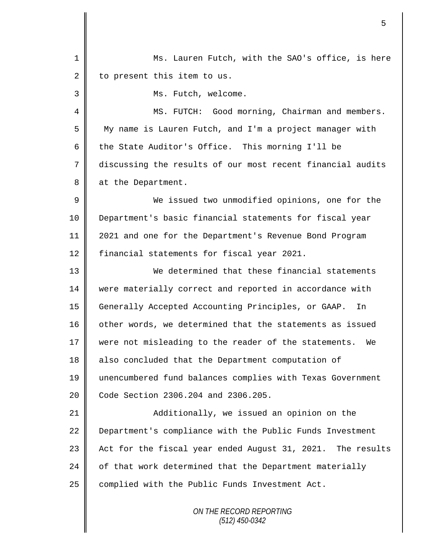| $\mathbf{1}$ | Ms. Lauren Futch, with the SAO's office, is here           |
|--------------|------------------------------------------------------------|
| 2            | to present this item to us.                                |
| 3            | Ms. Futch, welcome.                                        |
| 4            | MS. FUTCH: Good morning, Chairman and members.             |
| 5            | My name is Lauren Futch, and I'm a project manager with    |
| 6            | the State Auditor's Office. This morning I'll be           |
| 7            | discussing the results of our most recent financial audits |
| 8            | at the Department.                                         |
| $\mathsf 9$  | We issued two unmodified opinions, one for the             |
| 10           | Department's basic financial statements for fiscal year    |
| 11           | 2021 and one for the Department's Revenue Bond Program     |
| 12           | financial statements for fiscal year 2021.                 |
| 13           | We determined that these financial statements              |
| 14           | were materially correct and reported in accordance with    |
| 15           | Generally Accepted Accounting Principles, or GAAP.<br>In   |
| 16           | other words, we determined that the statements as issued   |
| 17           | were not misleading to the reader of the statements.<br>We |
| 18           | also concluded that the Department computation of          |
| 19           | unencumbered fund balances complies with Texas Government  |
| 20           | Code Section 2306.204 and 2306.205.                        |
| 21           | Additionally, we issued an opinion on the                  |
| 22           | Department's compliance with the Public Funds Investment   |
| 23           | Act for the fiscal year ended August 31, 2021. The results |
| 24           | of that work determined that the Department materially     |
| 25           | complied with the Public Funds Investment Act.             |
|              | ON THE RECORD REPORTING                                    |

 $\mathbf l$ II

 $\mathsf{I}$ 

*(512) 450-0342*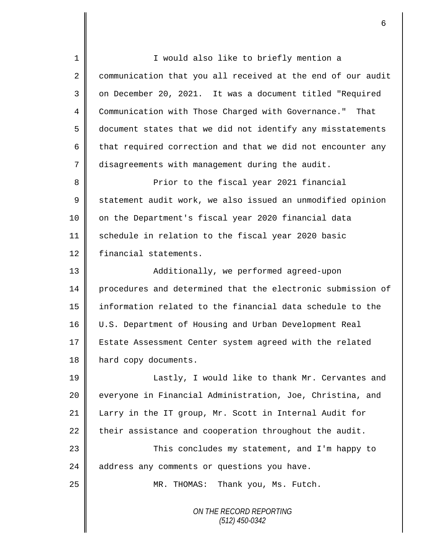*ON THE RECORD REPORTING* 1 || I would also like to briefly mention a 2 communication that you all received at the end of our audit 3 on December 20, 2021. It was a document titled "Required 4 Communication with Those Charged with Governance." That 5 document states that we did not identify any misstatements 6  $\parallel$  that required correction and that we did not encounter any 7 disagreements with management during the audit. 8 Prior to the fiscal year 2021 financial 9 Statement audit work, we also issued an unmodified opinion 10 on the Department's fiscal year 2020 financial data 11 Schedule in relation to the fiscal year 2020 basic 12 financial statements. 13 || Additionally, we performed agreed-upon 14 procedures and determined that the electronic submission of 15 information related to the financial data schedule to the 16 U.S. Department of Housing and Urban Development Real 17 Estate Assessment Center system agreed with the related 18 | hard copy documents. 19 **EXECUTE:** Lastly, I would like to thank Mr. Cervantes and 20 everyone in Financial Administration, Joe, Christina, and 21 Larry in the IT group, Mr. Scott in Internal Audit for 22 their assistance and cooperation throughout the audit. 23 This concludes my statement, and I'm happy to  $24$  | address any comments or questions you have. 25 || MR. THOMAS: Thank you, Ms. Futch.

6

*(512) 450-0342*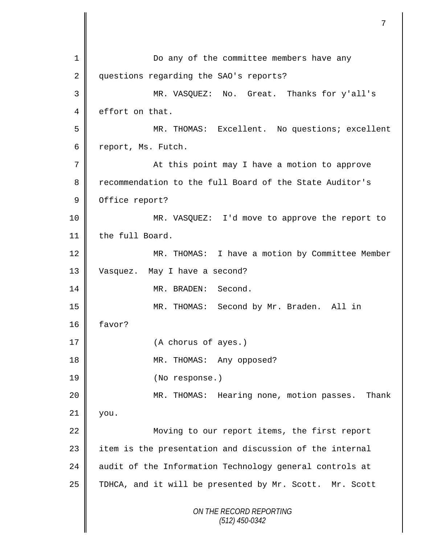*ON THE RECORD REPORTING (512) 450-0342* 1 Do any of the committee members have any 2 questions regarding the SAO's reports? 3 MR. VASQUEZ: No. Great. Thanks for y'all's 4 effort on that. 5 MR. THOMAS: Excellent. No questions; excellent 6 report, Ms. Futch. 7 || At this point may I have a motion to approve 8 recommendation to the full Board of the State Auditor's 9 | Office report? 10 MR. VASQUEZ: I'd move to approve the report to 11 the full Board. 12 || MR. THOMAS: I have a motion by Committee Member 13 Vasquez. May I have a second? 14 MR. BRADEN: Second. 15 MR. THOMAS: Second by Mr. Braden. All in 16 favor? 17 || (A chorus of ayes.) 18 || MR. THOMAS: Any opposed? 19 (No response.) 20 MR. THOMAS: Hearing none, motion passes. Thank  $21$  you. 22 | Moving to our report items, the first report 23 || item is the presentation and discussion of the internal 24 audit of the Information Technology general controls at 25 TDHCA, and it will be presented by Mr. Scott. Mr. Scott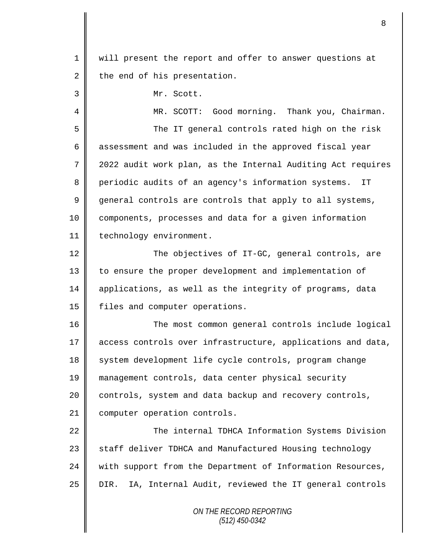1 will present the report and offer to answer questions at  $2 \parallel$  the end of his presentation.

3 Mr. Scott.

4 MR. SCOTT: Good morning. Thank you, Chairman. 5 The IT general controls rated high on the risk 6 assessment and was included in the approved fiscal year 7 2022 audit work plan, as the Internal Auditing Act requires 8 periodic audits of an agency's information systems. IT  $9 \parallel$  general controls are controls that apply to all systems, 10 components, processes and data for a given information 11 | technology environment.

12 The objectives of IT-GC, general controls, are 13 | to ensure the proper development and implementation of 14 || applications, as well as the integrity of programs, data 15 | files and computer operations.

16 || The most common general controls include logical 17 access controls over infrastructure, applications and data, 18 system development life cycle controls, program change 19 management controls, data center physical security 20 controls, system and data backup and recovery controls, 21 | computer operation controls.

22 | The internal TDHCA Information Systems Division 23 | staff deliver TDHCA and Manufactured Housing technology 24 with support from the Department of Information Resources, 25 DIR. IA, Internal Audit, reviewed the IT general controls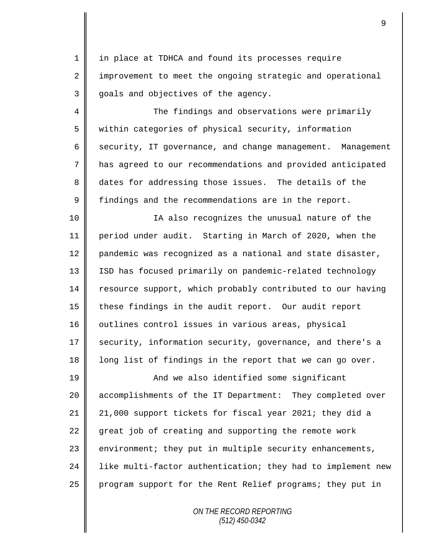1 || in place at TDHCA and found its processes require 2 | improvement to meet the ongoing strategic and operational 3 | goals and objectives of the agency.

4 || The findings and observations were primarily 5 within categories of physical security, information 6 security, IT governance, and change management. Management 7 has agreed to our recommendations and provided anticipated 8 dates for addressing those issues. The details of the  $9 \parallel$  findings and the recommendations are in the report.

10 || IA also recognizes the unusual nature of the 11 period under audit. Starting in March of 2020, when the 12 pandemic was recognized as a national and state disaster, 13 || ISD has focused primarily on pandemic-related technology 14 resource support, which probably contributed to our having 15  $\parallel$  these findings in the audit report. Our audit report 16 | outlines control issues in various areas, physical 17 Security, information security, governance, and there's a 18 || long list of findings in the report that we can go over.

19 **And we also identified some significant** 20 | accomplishments of the IT Department: They completed over 21 21,000 support tickets for fiscal year 2021; they did a 22 great job of creating and supporting the remote work  $23$  environment; they put in multiple security enhancements,  $24$  | like multi-factor authentication; they had to implement new 25 | program support for the Rent Relief programs; they put in

> *ON THE RECORD REPORTING (512) 450-0342*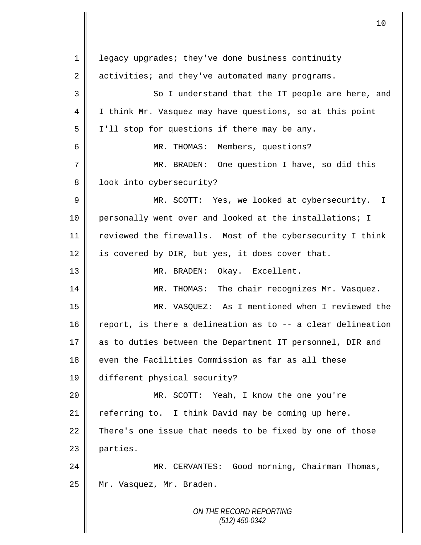*ON THE RECORD REPORTING (512) 450-0342* 1 | legacy upgrades; they've done business continuity 2 activities; and they've automated many programs. 3 || So I understand that the IT people are here, and 4 I think Mr. Vasquez may have questions, so at this point  $5 \parallel$  I'll stop for questions if there may be any. 6 MR. THOMAS: Members, questions? 7 MR. BRADEN: One question I have, so did this 8 | look into cybersecurity? 9 || MR. SCOTT: Yes, we looked at cybersecurity. I 10 personally went over and looked at the installations; I 11 reviewed the firewalls. Most of the cybersecurity I think 12 is covered by DIR, but yes, it does cover that. 13 || MR. BRADEN: Okay. Excellent. 14 | MR. THOMAS: The chair recognizes Mr. Vasquez. 15 MR. VASQUEZ: As I mentioned when I reviewed the 16 report, is there a delineation as to  $-$ - a clear delineation 17 as to duties between the Department IT personnel, DIR and  $18$   $\parallel$  even the Facilities Commission as far as all these 19 different physical security? 20 MR. SCOTT: Yeah, I know the one you're 21 referring to. I think David may be coming up here.  $22$  There's one issue that needs to be fixed by one of those 23 | parties. 24 MR. CERVANTES: Good morning, Chairman Thomas, 25 Mr. Vasquez, Mr. Braden.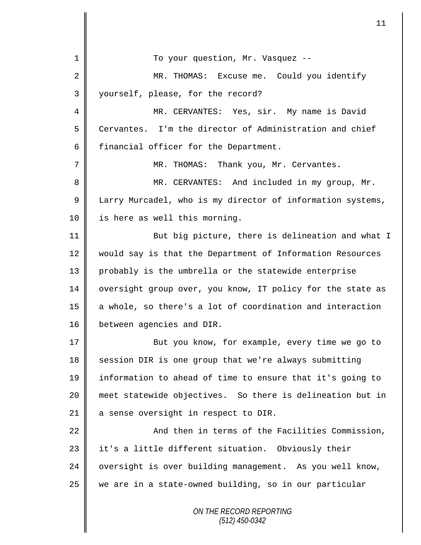*ON THE RECORD REPORTING (512) 450-0342* 1 To your question, Mr. Vasquez -- 2 MR. THOMAS: Excuse me. Could you identify 3 yourself, please, for the record? 4 MR. CERVANTES: Yes, sir. My name is David 5 Cervantes. I'm the director of Administration and chief  $6$  | financial officer for the Department. 7 || MR. THOMAS: Thank you, Mr. Cervantes. 8 MR. CERVANTES: And included in my group, Mr. 9 | Larry Murcadel, who is my director of information systems, 10 | is here as well this morning. 11 || But big picture, there is delineation and what I 12 would say is that the Department of Information Resources 13 probably is the umbrella or the statewide enterprise 14 | oversight group over, you know, IT policy for the state as 15 a whole, so there's a lot of coordination and interaction 16 **b**etween agencies and DIR. 17 || But you know, for example, every time we go to 18 session DIR is one group that we're always submitting 19 information to ahead of time to ensure that it's going to 20 meet statewide objectives. So there is delineation but in  $21$  a sense oversight in respect to DIR. 22 | Kanal then in terms of the Facilities Commission, 23 | it's a little different situation. Obviously their  $24$  oversight is over building management. As you well know, 25 we are in a state-owned building, so in our particular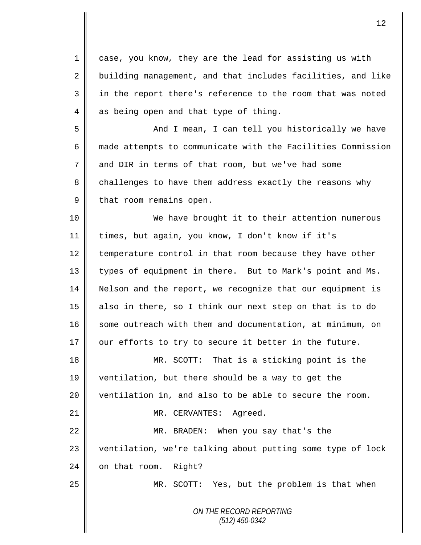*ON THE RECORD REPORTING (512) 450-0342* 1 case, you know, they are the lead for assisting us with 2 building management, and that includes facilities, and like 3 || in the report there's reference to the room that was noted  $4 \parallel$  as being open and that type of thing. 5 And I mean, I can tell you historically we have 6 made attempts to communicate with the Facilities Commission 7 and DIR in terms of that room, but we've had some 8 challenges to have them address exactly the reasons why  $9 \parallel$  that room remains open. 10 || We have brought it to their attention numerous 11 times, but again, you know, I don't know if it's  $12$  temperature control in that room because they have other 13 types of equipment in there. But to Mark's point and Ms. 14 Nelson and the report, we recognize that our equipment is 15 also in there, so I think our next step on that is to do 16 some outreach with them and documentation, at minimum, on  $17$  our efforts to try to secure it better in the future. 18 MR. SCOTT: That is a sticking point is the 19 ventilation, but there should be a way to get the  $20$  | ventilation in, and also to be able to secure the room. 21 || MR. CERVANTES: Agreed. 22 MR. BRADEN: When you say that's the 23 ventilation, we're talking about putting some type of lock 24 on that room. Right? 25 || MR. SCOTT: Yes, but the problem is that when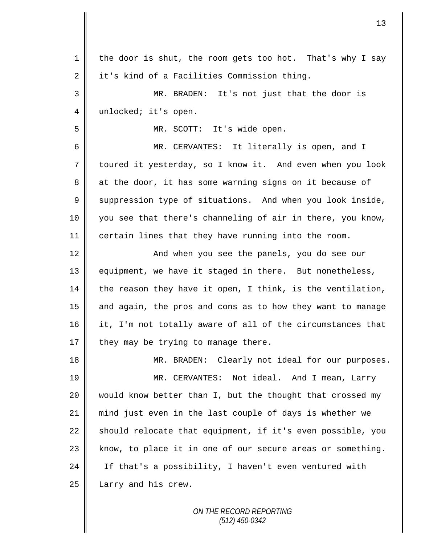1 the door is shut, the room gets too hot. That's why I say 2 it's kind of a Facilities Commission thing. 3 MR. BRADEN: It's not just that the door is 4 unlocked; it's open. 5 || MR. SCOTT: It's wide open. 6 MR. CERVANTES: It literally is open, and I 7 toured it yesterday, so I know it. And even when you look 8 at the door, it has some warning signs on it because of 9 Suppression type of situations. And when you look inside, 10 you see that there's channeling of air in there, you know, 11 certain lines that they have running into the room. 12 | And when you see the panels, you do see our 13 || equipment, we have it staged in there. But nonetheless, 14 the reason they have it open, I think, is the ventilation, 15 and again, the pros and cons as to how they want to manage 16 it, I'm not totally aware of all of the circumstances that 17  $\parallel$  they may be trying to manage there. 18 || MR. BRADEN: Clearly not ideal for our purposes. 19 MR. CERVANTES: Not ideal. And I mean, Larry 20  $\parallel$  would know better than I, but the thought that crossed my 21 mind just even in the last couple of days is whether we 22 should relocate that equipment, if it's even possible, you  $23$  | know, to place it in one of our secure areas or something. 24 If that's a possibility, I haven't even ventured with 25 Larry and his crew.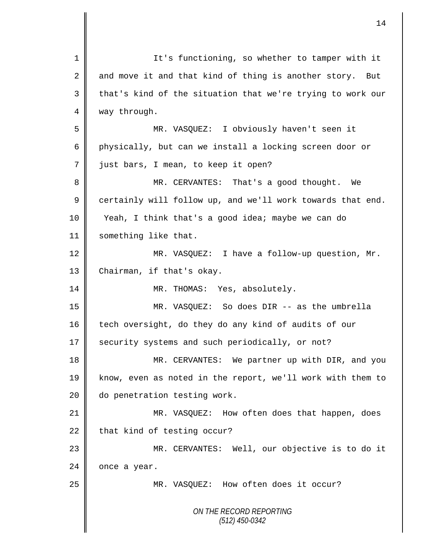| $\mathbf 1$ | It's functioning, so whether to tamper with it             |
|-------------|------------------------------------------------------------|
| 2           | and move it and that kind of thing is another story. But   |
| 3           | that's kind of the situation that we're trying to work our |
| 4           | way through.                                               |
| 5           | MR. VASQUEZ: I obviously haven't seen it                   |
| 6           | physically, but can we install a locking screen door or    |
| 7           | just bars, I mean, to keep it open?                        |
| 8           | MR. CERVANTES: That's a good thought. We                   |
| 9           | certainly will follow up, and we'll work towards that end. |
| 10          | Yeah, I think that's a good idea; maybe we can do          |
| 11          | something like that.                                       |
| 12          | MR. VASQUEZ: I have a follow-up question, Mr.              |
| 13          | Chairman, if that's okay.                                  |
| 14          | MR. THOMAS: Yes, absolutely.                               |
| 15          | MR. VASQUEZ: So does DIR -- as the umbrella                |
| 16          | tech oversight, do they do any kind of audits of our       |
| 17          | security systems and such periodically, or not?            |
| 18          | MR. CERVANTES: We partner up with DIR, and you             |
| 19          | know, even as noted in the report, we'll work with them to |
| 20          | do penetration testing work.                               |
| 21          | MR. VASQUEZ: How often does that happen, does              |
| 22          | that kind of testing occur?                                |
| 23          | MR. CERVANTES: Well, our objective is to do it             |
| 24          | once a year.                                               |
| 25          | MR. VASQUEZ: How often does it occur?                      |
|             | ON THE RECORD REPORTING                                    |
|             | $(512)$ 450-0342                                           |
|             |                                                            |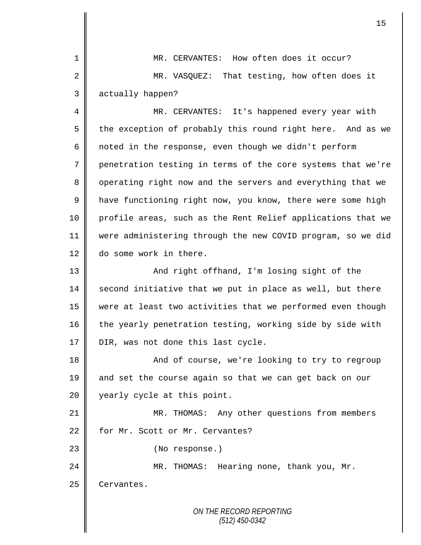*ON THE RECORD REPORTING (512) 450-0342* 1 || MR. CERVANTES: How often does it occur? 2 MR. VASQUEZ: That testing, how often does it 3 actually happen? 4 MR. CERVANTES: It's happened every year with 5 the exception of probably this round right here. And as we 6 noted in the response, even though we didn't perform 7 penetration testing in terms of the core systems that we're 8 | operating right now and the servers and everything that we  $9 \parallel$  have functioning right now, you know, there were some high 10 || profile areas, such as the Rent Relief applications that we 11 were administering through the new COVID program, so we did 12 do some work in there. 13 || And right offhand, I'm losing sight of the  $14$  second initiative that we put in place as well, but there 15 were at least two activities that we performed even though 16 the yearly penetration testing, working side by side with 17  $\parallel$  DIR, was not done this last cycle. 18 || And of course, we're looking to try to regroup 19 and set the course again so that we can get back on our 20 yearly cycle at this point. 21 MR. THOMAS: Any other questions from members 22 for Mr. Scott or Mr. Cervantes? 23 || (No response.) 24 MR. THOMAS: Hearing none, thank you, Mr. 25 | Cervantes.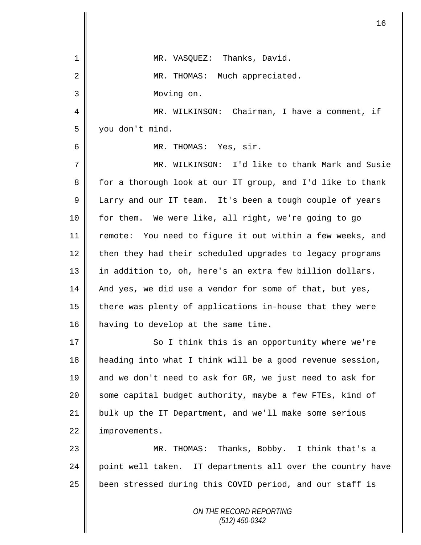| 1              | MR. VASQUEZ: Thanks, David.                                |
|----------------|------------------------------------------------------------|
| $\overline{2}$ | MR. THOMAS: Much appreciated.                              |
| 3              | Moving on.                                                 |
| 4              | MR. WILKINSON: Chairman, I have a comment, if              |
| 5              | you don't mind.                                            |
| 6              | MR. THOMAS: Yes, sir.                                      |
| 7              | MR. WILKINSON: I'd like to thank Mark and Susie            |
| 8              | for a thorough look at our IT group, and I'd like to thank |
| 9              | Larry and our IT team. It's been a tough couple of years   |
| $10 \,$        | We were like, all right, we're going to go<br>for them.    |
| 11             | remote: You need to figure it out within a few weeks, and  |
| 12             | then they had their scheduled upgrades to legacy programs  |
| 13             | in addition to, oh, here's an extra few billion dollars.   |
| 14             | And yes, we did use a vendor for some of that, but yes,    |
| 15             | there was plenty of applications in-house that they were   |
| 16             | having to develop at the same time.                        |
| 17             | So I think this is an opportunity where we're              |
| 18             | heading into what I think will be a good revenue session,  |
| 19             | and we don't need to ask for GR, we just need to ask for   |
| 20             | some capital budget authority, maybe a few FTEs, kind of   |
| 21             | bulk up the IT Department, and we'll make some serious     |
| 22             | improvements.                                              |
| 23             | MR. THOMAS: Thanks, Bobby. I think that's a                |
| 24             | point well taken. IT departments all over the country have |
| 25             | been stressed during this COVID period, and our staff is   |
|                | ON THE RECORD REPORTING                                    |

 $\mathbf l$ II

 $\mathsf{I}$ 

*(512) 450-0342*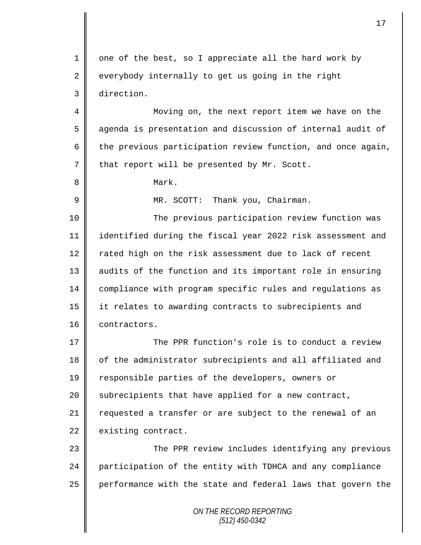$1 \parallel$  one of the best, so I appreciate all the hard work by  $2 \parallel$  everybody internally to get us going in the right 3 direction. 4 || Moving on, the next report item we have on the 5 agenda is presentation and discussion of internal audit of 6 the previous participation review function, and once again,  $7 \parallel$  that report will be presented by Mr. Scott. 8 Mark. 9 || MR. SCOTT: Thank you, Chairman. 10 || The previous participation review function was 11 identified during the fiscal year 2022 risk assessment and 12 Trated high on the risk assessment due to lack of recent

13 || audits of the function and its important role in ensuring 14 | compliance with program specific rules and regulations as 15 it relates to awarding contracts to subrecipients and 16 contractors.

17 The PPR function's role is to conduct a review 18 | of the administrator subrecipients and all affiliated and 19 | responsible parties of the developers, owners or 20 | subrecipients that have applied for a new contract, 21 || requested a transfer or are subject to the renewal of an  $22$  existing contract.

23 The PPR review includes identifying any previous 24 participation of the entity with TDHCA and any compliance 25 performance with the state and federal laws that govern the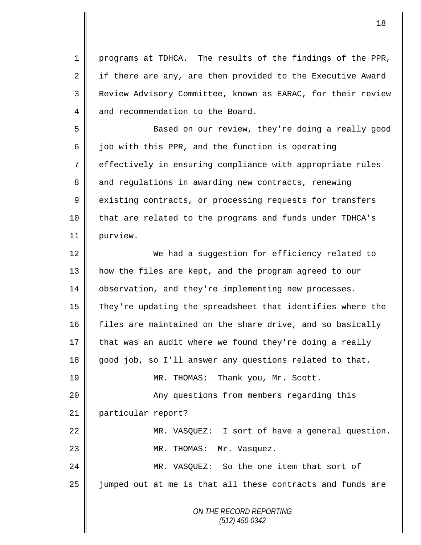$1 \parallel$  programs at TDHCA. The results of the findings of the PPR, 2 if there are any, are then provided to the Executive Award 3 Review Advisory Committee, known as EARAC, for their review 4 and recommendation to the Board.

5 Based on our review, they're doing a really good 6 | job with this PPR, and the function is operating 7 | effectively in ensuring compliance with appropriate rules 8 and regulations in awarding new contracts, renewing 9 existing contracts, or processing requests for transfers 10 || that are related to the programs and funds under TDHCA's 11 | purview.

*ON THE RECORD REPORTING (512) 450-0342* 12 We had a suggestion for efficiency related to 13 how the files are kept, and the program agreed to our 14 | observation, and they're implementing new processes. 15 They're updating the spreadsheet that identifies where the 16 files are maintained on the share drive, and so basically 17  $\parallel$  that was an audit where we found they're doing a really 18 good job, so I'll answer any questions related to that. 19 || MR. THOMAS: Thank you, Mr. Scott. 20 || Any questions from members regarding this 21 particular report? 22 || MR. VASQUEZ: I sort of have a general question. 23 || MR. THOMAS: Mr. Vasquez. 24 MR. VASOUEZ: So the one item that sort of 25 | jumped out at me is that all these contracts and funds are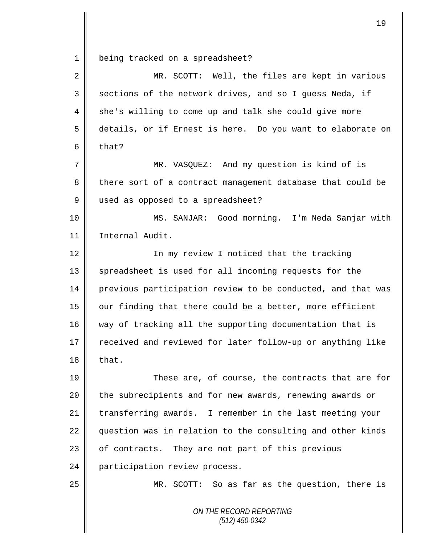1 being tracked on a spreadsheet?

| 2  | MR. SCOTT: Well, the files are kept in various              |
|----|-------------------------------------------------------------|
| 3  | sections of the network drives, and so I guess Neda, if     |
| 4  | she's willing to come up and talk she could give more       |
| 5  | details, or if Ernest is here. Do you want to elaborate on  |
| 6  | that?                                                       |
| 7  | MR. VASQUEZ: And my question is kind of is                  |
| 8  | there sort of a contract management database that could be  |
| 9  | used as opposed to a spreadsheet?                           |
| 10 | MS. SANJAR: Good morning. I'm Neda Sanjar with              |
| 11 | Internal Audit.                                             |
| 12 | In my review I noticed that the tracking                    |
| 13 | spreadsheet is used for all incoming requests for the       |
| 14 | previous participation review to be conducted, and that was |
| 15 | our finding that there could be a better, more efficient    |
| 16 | way of tracking all the supporting documentation that is    |
| 17 | received and reviewed for later follow-up or anything like  |
| 18 | that.                                                       |
| 19 | These are, of course, the contracts that are for            |
| 20 | the subrecipients and for new awards, renewing awards or    |
| 21 | transferring awards. I remember in the last meeting your    |
| 22 | question was in relation to the consulting and other kinds  |
| 23 | of contracts. They are not part of this previous            |
| 24 | participation review process.                               |
| 25 | MR. SCOTT: So as far as the question, there is              |
|    | ON THE RECORD REPORTING<br>$(512)$ 450-0342                 |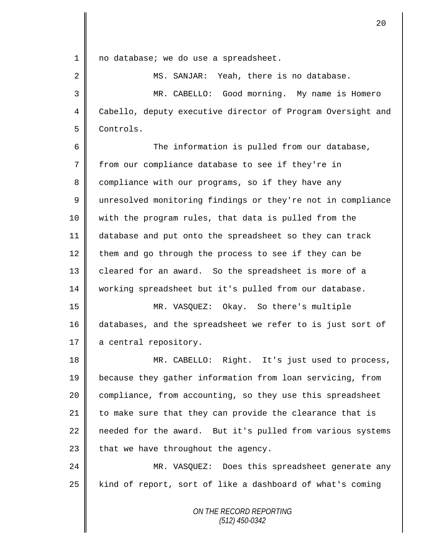| 1  | no database; we do use a spreadsheet.                       |
|----|-------------------------------------------------------------|
| 2  | MS. SANJAR: Yeah, there is no database.                     |
| 3  | MR. CABELLO: Good morning. My name is Homero                |
| 4  | Cabello, deputy executive director of Program Oversight and |
| 5  | Controls.                                                   |
| 6  | The information is pulled from our database,                |
| 7  | from our compliance database to see if they're in           |
| 8  | compliance with our programs, so if they have any           |
| 9  | unresolved monitoring findings or they're not in compliance |
| 10 | with the program rules, that data is pulled from the        |
| 11 | database and put onto the spreadsheet so they can track     |
| 12 | them and go through the process to see if they can be       |
| 13 | cleared for an award. So the spreadsheet is more of a       |
| 14 | working spreadsheet but it's pulled from our database.      |
| 15 | MR. VASQUEZ: Okay. So there's multiple                      |
| 16 | databases, and the spreadsheet we refer to is just sort of  |
| 17 | a central repository.                                       |
| 18 | MR. CABELLO: Right. It's just used to process,              |
| 19 | because they gather information from loan servicing, from   |
| 20 | compliance, from accounting, so they use this spreadsheet   |
| 21 | to make sure that they can provide the clearance that is    |
| 22 | needed for the award. But it's pulled from various systems  |
| 23 | that we have throughout the agency.                         |
| 24 | MR. VASQUEZ: Does this spreadsheet generate any             |
| 25 | kind of report, sort of like a dashboard of what's coming   |
|    | ON THE RECORD REPORTING                                     |

 $\mathbf{I}$ 

 $\mathsf{I}$ 

*(512) 450-0342*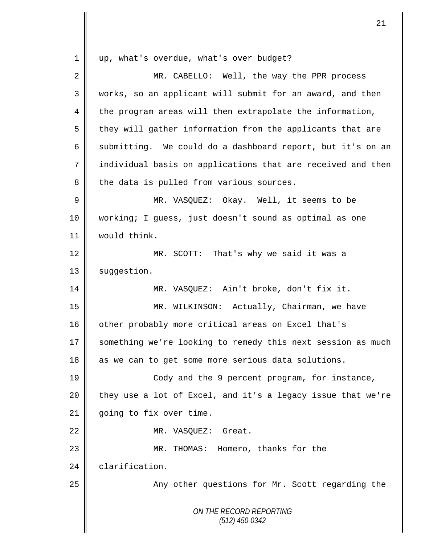*ON THE RECORD REPORTING (512) 450-0342* 1 || up, what's overdue, what's over budget? 2 || MR. CABELLO: Well, the way the PPR process 3 || works, so an applicant will submit for an award, and then  $4 \parallel$  the program areas will then extrapolate the information,  $5 \parallel$  they will gather information from the applicants that are 6 submitting. We could do a dashboard report, but it's on an 7 || individual basis on applications that are received and then  $8$  the data is pulled from various sources. 9 MR. VASQUEZ: Okay. Well, it seems to be 10 working; I guess, just doesn't sound as optimal as one 11 | would think. 12 MR. SCOTT: That's why we said it was a 13 | suggestion. 14 MR. VASQUEZ: Ain't broke, don't fix it. 15 | MR. WILKINSON: Actually, Chairman, we have 16 other probably more critical areas on Excel that's 17 Something we're looking to remedy this next session as much 18 || as we can to get some more serious data solutions. 19 **Cody** and the 9 percent program, for instance, 20  $\parallel$  they use a lot of Excel, and it's a legacy issue that we're 21 | going to fix over time. 22 NR. VASOUEZ: Great. 23 MR. THOMAS: Homero, thanks for the  $24$   $\parallel$  clarification. 25 | Any other questions for Mr. Scott regarding the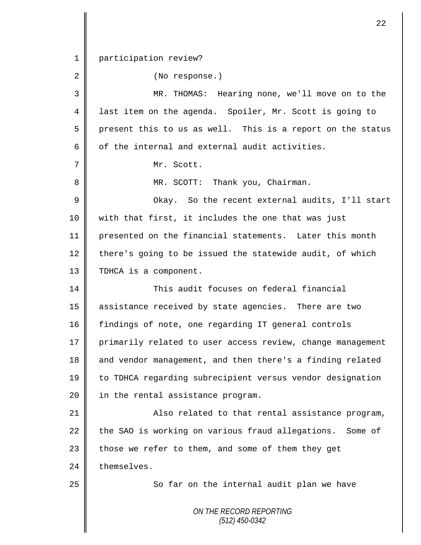*ON THE RECORD REPORTING (512) 450-0342* 1 participation review? 2 | (No response.) 3 MR. THOMAS: Hearing none, we'll move on to the 4 | last item on the agenda. Spoiler, Mr. Scott is going to 5 present this to us as well. This is a report on the status 6  $\parallel$  of the internal and external audit activities. 7 Mr. Scott. 8 MR. SCOTT: Thank you, Chairman. 9 Okay. So the recent external audits, I'll start 10 with that first, it includes the one that was just 11 presented on the financial statements. Later this month  $12$  there's going to be issued the statewide audit, of which 13 | TDHCA is a component. 14 **This audit focuses on federal financial** 15 || assistance received by state agencies. There are two 16 | findings of note, one regarding IT general controls 17 primarily related to user access review, change management 18 and vendor management, and then there's a finding related 19 to TDHCA regarding subrecipient versus vendor designation 20 | in the rental assistance program. 21 || Also related to that rental assistance program, 22 the SAO is working on various fraud allegations. Some of  $23$  | those we refer to them, and some of them they get  $24$  | themselves.  $25$   $\parallel$  So far on the internal audit plan we have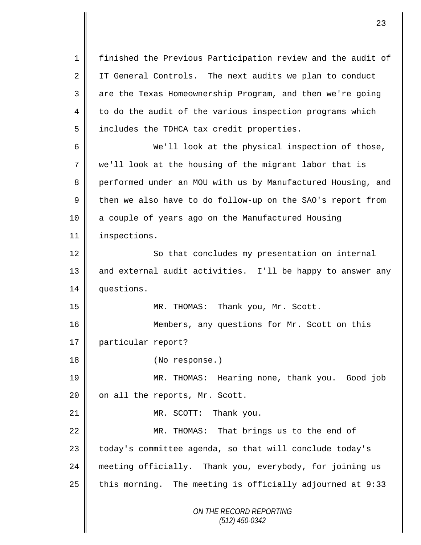1 finished the Previous Participation review and the audit of 2 T IT General Controls. The next audits we plan to conduct 3 are the Texas Homeownership Program, and then we're going  $4 \parallel$  to do the audit of the various inspection programs which 5 | includes the TDHCA tax credit properties. 6 We'll look at the physical inspection of those, 7 we'll look at the housing of the migrant labor that is 8 performed under an MOU with us by Manufactured Housing, and  $9 \parallel$  then we also have to do follow-up on the SAO's report from

10 a couple of years ago on the Manufactured Housing

11 | inspections.

12 || So that concludes my presentation on internal 13 || and external audit activities. I'll be happy to answer any 14 questions.

15 **MR. THOMAS:** Thank you, Mr. Scott.

16 Members, any questions for Mr. Scott on this 17 | particular report?

18 || (No response.)

19 MR. THOMAS: Hearing none, thank you. Good job 20 | on all the reports, Mr. Scott.

21 | MR. SCOTT: Thank you.

22 MR. THOMAS: That brings us to the end of 23 | today's committee agenda, so that will conclude today's 24 meeting officially. Thank you, everybody, for joining us 25  $\parallel$  this morning. The meeting is officially adjourned at 9:33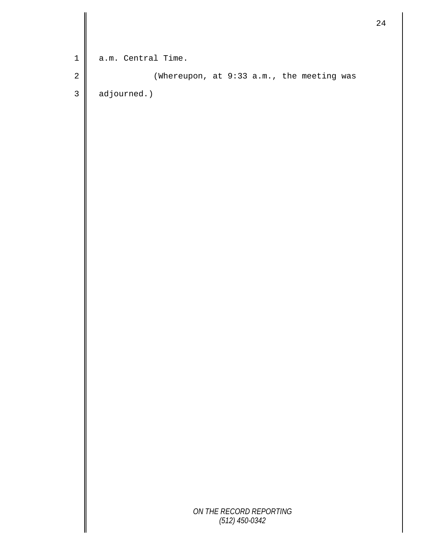| a.m. Central Time.<br>$\ensuremath{\mathbbm{1}}$<br>(Whereupon, at 9:33 a.m., the meeting was<br>$\sqrt{2}$<br>$\mathsf{3}$<br>adjourned.) |  |
|--------------------------------------------------------------------------------------------------------------------------------------------|--|
|                                                                                                                                            |  |
|                                                                                                                                            |  |
|                                                                                                                                            |  |
|                                                                                                                                            |  |
|                                                                                                                                            |  |
|                                                                                                                                            |  |
|                                                                                                                                            |  |
|                                                                                                                                            |  |
|                                                                                                                                            |  |
|                                                                                                                                            |  |
|                                                                                                                                            |  |
|                                                                                                                                            |  |
|                                                                                                                                            |  |
|                                                                                                                                            |  |
|                                                                                                                                            |  |
|                                                                                                                                            |  |
|                                                                                                                                            |  |
|                                                                                                                                            |  |
|                                                                                                                                            |  |
|                                                                                                                                            |  |
|                                                                                                                                            |  |
|                                                                                                                                            |  |
|                                                                                                                                            |  |
|                                                                                                                                            |  |
|                                                                                                                                            |  |
| ON THE RECORD REPORTING<br>$(512)$ 450-0342                                                                                                |  |